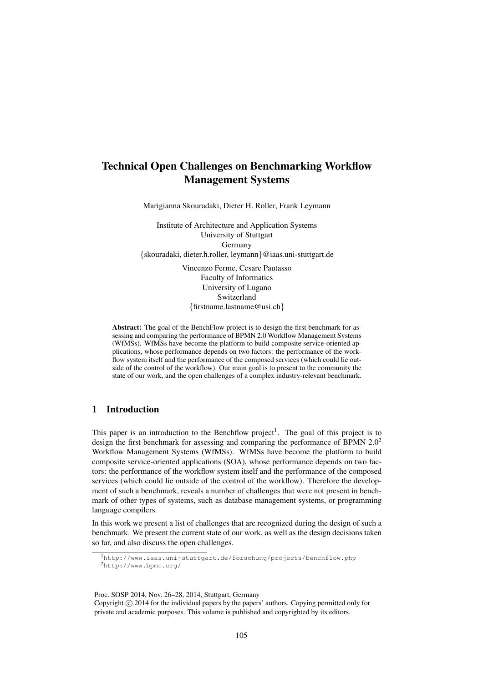# Technical Open Challenges on Benchmarking Workflow Management Systems

Marigianna Skouradaki, Dieter H. Roller, Frank Leymann

Institute of Architecture and Application Systems University of Stuttgart Germany {skouradaki, dieter.h.roller, leymann}@iaas.uni-stuttgart.de

> Vincenzo Ferme, Cesare Pautasso Faculty of Informatics University of Lugano Switzerland {firstname.lastname@usi.ch}

Abstract: The goal of the BenchFlow project is to design the first benchmark for assessing and comparing the performance of BPMN 2.0 Workflow Management Systems (WfMSs). WfMSs have become the platform to build composite service-oriented applications, whose performance depends on two factors: the performance of the workflow system itself and the performance of the composed services (which could lie outside of the control of the workflow). Our main goal is to present to the community the state of our work, and the open challenges of a complex industry-relevant benchmark.

### 1 Introduction

This paper is an introduction to the Benchflow project<sup>1</sup>. The goal of this project is to design the first benchmark for assessing and comparing the performance of BPMN  $2.0<sup>2</sup>$ Workflow Management Systems (WfMSs). WfMSs have become the platform to build composite service-oriented applications (SOA), whose performance depends on two factors: the performance of the workflow system itself and the performance of the composed services (which could lie outside of the control of the workflow). Therefore the development of such a benchmark, reveals a number of challenges that were not present in benchmark of other types of systems, such as database management systems, or programming language compilers.

In this work we present a list of challenges that are recognized during the design of such a benchmark. We present the current state of our work, as well as the design decisions taken so far, and also discuss the open challenges.

Proc. SOSP 2014, Nov. 26–28, 2014, Stuttgart, Germany

<sup>1</sup>http://www.iaas.uni-stuttgart.de/forschung/projects/benchflow.php <sup>2</sup>http://www.bpmn.org/

Copyright  $\circled{c}$  2014 for the individual papers by the papers' authors. Copying permitted only for private and academic purposes. This volume is published and copyrighted by its editors.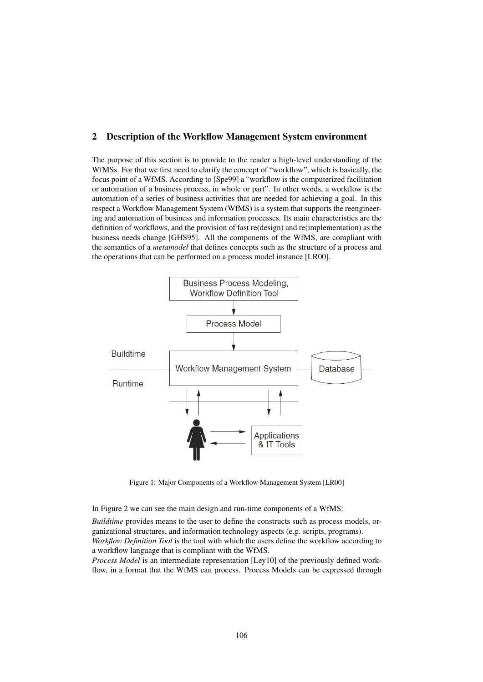#### 2 Description of the Workflow Management System environment

The purpose of this section is to provide to the reader a high-level understanding of the WfMSs. For that we first need to clarify the concept of "workflow", which is basically, the focus point of a WfMS. According to [Spe99] a "workflow is the computerized facilitation or automation of a business process, in whole or part". In other words, a workflow is the automation of a series of business activities that are needed for achieving a goal. In this respect a Workflow Management System (WfMS) is a system that supports the reengineering and automation of business and information processes. Its main characteristics are the definition of workflows, and the provision of fast re(design) and re(implementation) as the business needs change [GHS95]. All the components of the WfMS, are compliant with the semantics of a *metamodel* that defines concepts such as the structure of a process and the operations that can be performed on a process model instance [LR00].



Figure 1: Major Components of a Workflow Management System [LR00]

In Figure 2 we can see the main design and run-time components of a WfMS:

*Buildtime* provides means to the user to define the constructs such as process models, organizational structures, and information technology aspects (e.g. scripts, programs). *Workflow Definition Tool* is the tool with which the users define the workflow according to a workflow language that is compliant with the WfMS.

*Process Model* is an intermediate representation [Ley10] of the previously defined workflow, in a format that the WfMS can process. Process Models can be expressed through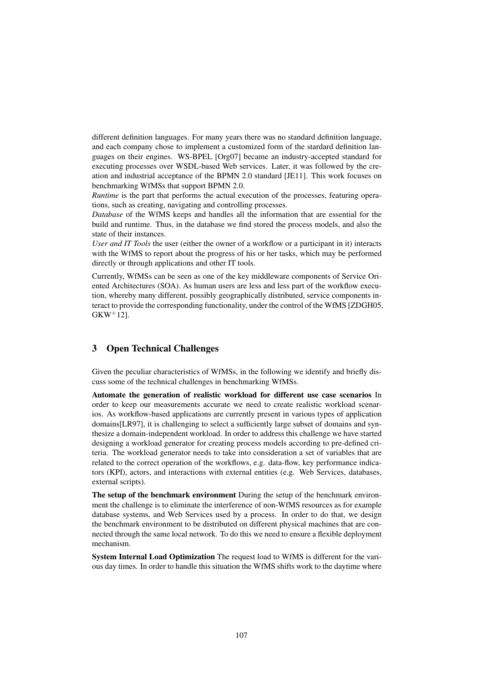different definition languages. For many years there was no standard definition language, and each company chose to implement a customized form of the stardard definition languages on their engines. WS-BPEL [Org07] became an industry-accepted standard for executing processes over WSDL-based Web services. Later, it was followed by the creation and industrial acceptance of the BPMN 2.0 standard [JE11]. This work focuses on benchmarking WfMSs that support BPMN 2.0.

*Runtime* is the part that performs the actual execution of the processes, featuring operations, such as creating, navigating and controlling processes.

*Database* of the WfMS keeps and handles all the information that are essential for the build and runtime. Thus, in the database we find stored the process models, and also the state of their instances.

*User and IT Tools* the user (either the owner of a workflow or a participant in it) interacts with the WfMS to report about the progress of his or her tasks, which may be performed directly or through applications and other IT tools.

Currently, WfMSs can be seen as one of the key middleware components of Service Oriented Architectures (SOA). As human users are less and less part of the workflow execution, whereby many different, possibly geographically distributed, service components interact to provide the corresponding functionality, under the control of the WfMS [ZDGH05,  $GKW^{+}12$ ].

# 3 Open Technical Challenges

Given the peculiar characteristics of WfMSs, in the following we identify and briefly discuss some of the technical challenges in benchmarking WfMSs.

Automate the generation of realistic workload for different use case scenarios In order to keep our measurements accurate we need to create realistic workload scenarios. As workflow-based applications are currently present in various types of application domains[LR97], it is challenging to select a sufficiently large subset of domains and synthesize a domain-independent workload. In order to address this challenge we have started designing a workload generator for creating process models according to pre-defined criteria. The workload generator needs to take into consideration a set of variables that are related to the correct operation of the workflows, e.g. data-flow, key performance indicators (KPI), actors, and interactions with external entities (e.g. Web Services, databases, external scripts).

The setup of the benchmark environment During the setup of the benchmark environment the challenge is to eliminate the interference of non-WfMS resources as for example database systems, and Web Services used by a process. In order to do that, we design the benchmark environment to be distributed on different physical machines that are connected through the same local network. To do this we need to ensure a flexible deployment mechanism.

System Internal Load Optimization The request load to WfMS is different for the various day times. In order to handle this situation the WfMS shifts work to the daytime where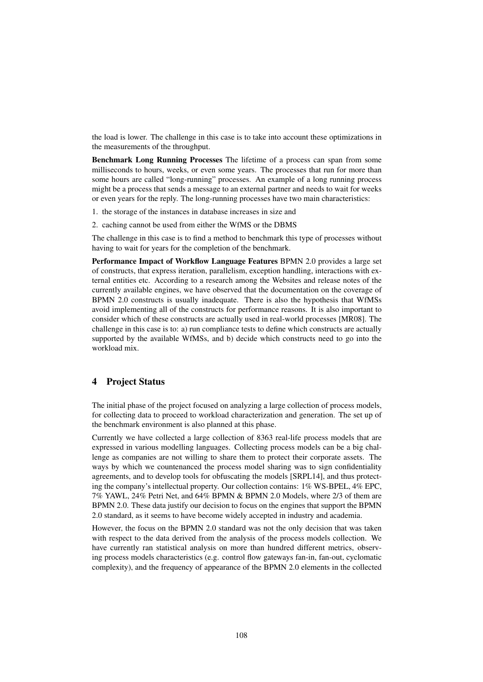the load is lower. The challenge in this case is to take into account these optimizations in the measurements of the throughput.

Benchmark Long Running Processes The lifetime of a process can span from some milliseconds to hours, weeks, or even some years. The processes that run for more than some hours are called "long-running" processes. An example of a long running process might be a process that sends a message to an external partner and needs to wait for weeks or even years for the reply. The long-running processes have two main characteristics:

- 1. the storage of the instances in database increases in size and
- 2. caching cannot be used from either the WfMS or the DBMS

The challenge in this case is to find a method to benchmark this type of processes without having to wait for years for the completion of the benchmark.

Performance Impact of Workflow Language Features BPMN 2.0 provides a large set of constructs, that express iteration, parallelism, exception handling, interactions with external entities etc. According to a research among the Websites and release notes of the currently available engines, we have observed that the documentation on the coverage of BPMN 2.0 constructs is usually inadequate. There is also the hypothesis that WfMSs avoid implementing all of the constructs for performance reasons. It is also important to consider which of these constructs are actually used in real-world processes [MR08]. The challenge in this case is to: a) run compliance tests to define which constructs are actually supported by the available WfMSs, and b) decide which constructs need to go into the workload mix.

## 4 Project Status

The initial phase of the project focused on analyzing a large collection of process models, for collecting data to proceed to workload characterization and generation. The set up of the benchmark environment is also planned at this phase.

Currently we have collected a large collection of 8363 real-life process models that are expressed in various modelling languages. Collecting process models can be a big challenge as companies are not willing to share them to protect their corporate assets. The ways by which we countenanced the process model sharing was to sign confidentiality agreements, and to develop tools for obfuscating the models [SRPL14], and thus protecting the company's intellectual property. Our collection contains: 1% WS-BPEL, 4% EPC, 7% YAWL, 24% Petri Net, and 64% BPMN & BPMN 2.0 Models, where 2/3 of them are BPMN 2.0. These data justify our decision to focus on the engines that support the BPMN 2.0 standard, as it seems to have become widely accepted in industry and academia.

However, the focus on the BPMN 2.0 standard was not the only decision that was taken with respect to the data derived from the analysis of the process models collection. We have currently ran statistical analysis on more than hundred different metrics, observing process models characteristics (e.g. control flow gateways fan-in, fan-out, cyclomatic complexity), and the frequency of appearance of the BPMN 2.0 elements in the collected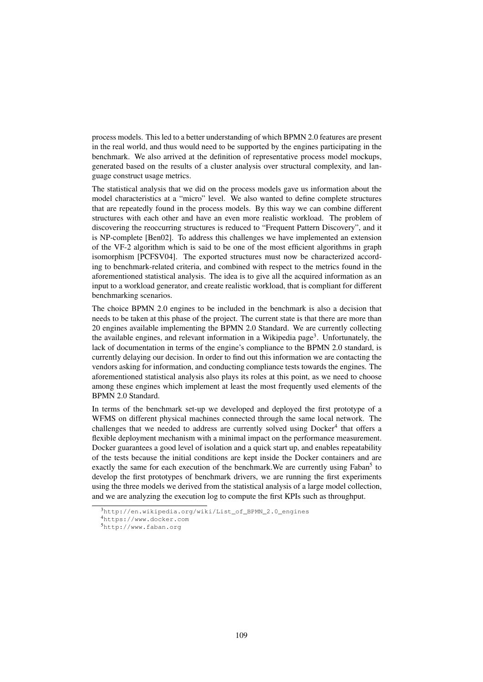process models. This led to a better understanding of which BPMN 2.0 features are present in the real world, and thus would need to be supported by the engines participating in the benchmark. We also arrived at the definition of representative process model mockups, generated based on the results of a cluster analysis over structural complexity, and language construct usage metrics.

The statistical analysis that we did on the process models gave us information about the model characteristics at a "micro" level. We also wanted to define complete structures that are repeatedly found in the process models. By this way we can combine different structures with each other and have an even more realistic workload. The problem of discovering the reoccurring structures is reduced to "Frequent Pattern Discovery", and it is NP-complete [Ben02]. To address this challenges we have implemented an extension of the VF-2 algorithm which is said to be one of the most efficient algorithms in graph isomorphism [PCFSV04]. The exported structures must now be characterized according to benchmark-related criteria, and combined with respect to the metrics found in the aforementioned statistical analysis. The idea is to give all the acquired information as an input to a workload generator, and create realistic workload, that is compliant for different benchmarking scenarios.

The choice BPMN 2.0 engines to be included in the benchmark is also a decision that needs to be taken at this phase of the project. The current state is that there are more than 20 engines available implementing the BPMN 2.0 Standard. We are currently collecting the available engines, and relevant information in a Wikipedia page<sup>3</sup>. Unfortunately, the lack of documentation in terms of the engine's compliance to the BPMN 2.0 standard, is currently delaying our decision. In order to find out this information we are contacting the vendors asking for information, and conducting compliance tests towards the engines. The aforementioned statistical analysis also plays its roles at this point, as we need to choose among these engines which implement at least the most frequently used elements of the BPMN 2.0 Standard.

In terms of the benchmark set-up we developed and deployed the first prototype of a WFMS on different physical machines connected through the same local network. The challenges that we needed to address are currently solved using Docker<sup>4</sup> that offers a flexible deployment mechanism with a minimal impact on the performance measurement. Docker guarantees a good level of isolation and a quick start up, and enables repeatability of the tests because the initial conditions are kept inside the Docker containers and are exactly the same for each execution of the benchmark. We are currently using Faban<sup>5</sup> to develop the first prototypes of benchmark drivers, we are running the first experiments using the three models we derived from the statistical analysis of a large model collection, and we are analyzing the execution log to compute the first KPIs such as throughput.

<sup>3</sup>http://en.wikipedia.org/wiki/List\_of\_BPMN\_2.0\_engines

<sup>4</sup>https://www.docker.com

<sup>5</sup>http://www.faban.org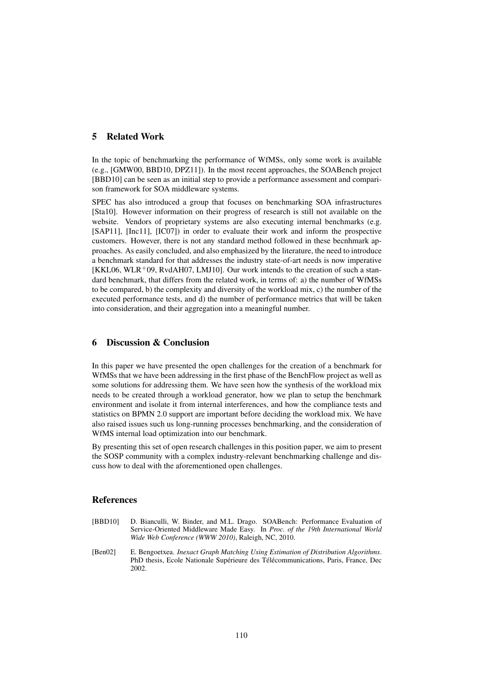### 5 Related Work

In the topic of benchmarking the performance of WfMSs, only some work is available (e.g., [GMW00, BBD10, DPZ11]). In the most recent approaches, the SOABench project [BBD10] can be seen as an initial step to provide a performance assessment and comparison framework for SOA middleware systems.

SPEC has also introduced a group that focuses on benchmarking SOA infrastructures [Sta10]. However information on their progress of research is still not available on the website. Vendors of proprietary systems are also executing internal benchmarks (e.g. [SAP11], [Inc11], [IC07]) in order to evaluate their work and inform the prospective customers. However, there is not any standard method followed in these becnhmark approaches. As easily concluded, and also emphasized by the literature, the need to introduce a benchmark standard for that addresses the industry state-of-art needs is now imperative  $[KKLO6, WLR<sup>+</sup>09, RvdAH07, LMI10]$ . Our work intends to the creation of such a standard benchmark, that differs from the related work, in terms of: a) the number of WfMSs to be compared, b) the complexity and diversity of the workload mix, c) the number of the executed performance tests, and d) the number of performance metrics that will be taken into consideration, and their aggregation into a meaningful number.

# 6 Discussion & Conclusion

In this paper we have presented the open challenges for the creation of a benchmark for WfMSs that we have been addressing in the first phase of the BenchFlow project as well as some solutions for addressing them. We have seen how the synthesis of the workload mix needs to be created through a workload generator, how we plan to setup the benchmark environment and isolate it from internal interferences, and how the compliance tests and statistics on BPMN 2.0 support are important before deciding the workload mix. We have also raised issues such us long-running processes benchmarking, and the consideration of WfMS internal load optimization into our benchmark.

By presenting this set of open research challenges in this position paper, we aim to present the SOSP community with a complex industry-relevant benchmarking challenge and discuss how to deal with the aforementioned open challenges.

#### References

- [BBD10] D. Bianculli, W. Binder, and M.L. Drago. SOABench: Performance Evaluation of Service-Oriented Middleware Made Easy. In *Proc. of the 19th International World Wide Web Conference (WWW 2010)*, Raleigh, NC, 2010.
- [Ben02] E. Bengoetxea. *Inexact Graph Matching Using Estimation of Distribution Algorithms*. PhD thesis, Ecole Nationale Supérieure des Télécommunications, Paris, France, Dec 2002.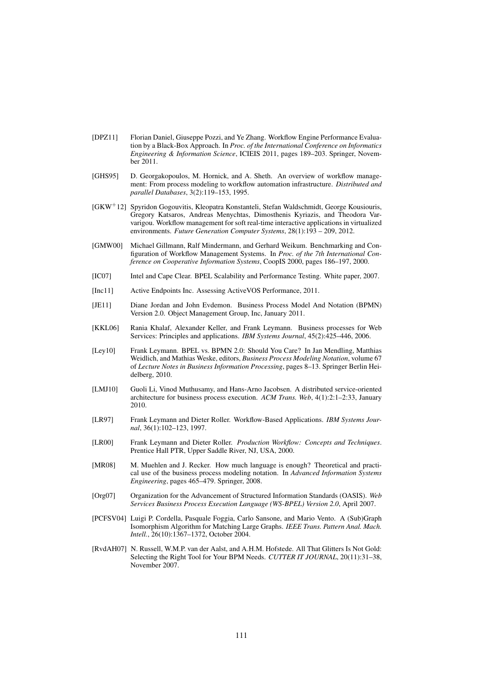- [DPZ11] Florian Daniel, Giuseppe Pozzi, and Ye Zhang. Workflow Engine Performance Evaluation by a Black-Box Approach. In *Proc. of the International Conference on Informatics Engineering & Information Science*, ICIEIS 2011, pages 189–203. Springer, November 2011.
- [GHS95] D. Georgakopoulos, M. Hornick, and A. Sheth. An overview of workflow management: From process modeling to workflow automation infrastructure. *Distributed and parallel Databases*, 3(2):119–153, 1995.
- [GKW<sup>+</sup>12] Spyridon Gogouvitis, Kleopatra Konstanteli, Stefan Waldschmidt, George Kousiouris, Gregory Katsaros, Andreas Menychtas, Dimosthenis Kyriazis, and Theodora Varvarigou. Workflow management for soft real-time interactive applications in virtualized environments. *Future Generation Computer Systems*, 28(1):193 – 209, 2012.
- [GMW00] Michael Gillmann, Ralf Mindermann, and Gerhard Weikum. Benchmarking and Configuration of Workflow Management Systems. In *Proc. of the 7th International Conference on Cooperative Information Systems*, CoopIS 2000, pages 186–197, 2000.
- [IC07] Intel and Cape Clear. BPEL Scalability and Performance Testing. White paper, 2007.
- [Inc11] Active Endpoints Inc. Assessing ActiveVOS Performance, 2011.
- [JE11] Diane Jordan and John Evdemon. Business Process Model And Notation (BPMN) Version 2.0. Object Management Group, Inc, January 2011.
- [KKL06] Rania Khalaf, Alexander Keller, and Frank Leymann. Business processes for Web Services: Principles and applications. *IBM Systems Journal*, 45(2):425–446, 2006.
- [Ley10] Frank Leymann. BPEL vs. BPMN 2.0: Should You Care? In Jan Mendling, Matthias Weidlich, and Mathias Weske, editors, *Business Process Modeling Notation*, volume 67 of *Lecture Notes in Business Information Processing*, pages 8–13. Springer Berlin Heidelberg, 2010.
- [LMJ10] Guoli Li, Vinod Muthusamy, and Hans-Arno Jacobsen. A distributed service-oriented architecture for business process execution. *ACM Trans. Web*, 4(1):2:1–2:33, January 2010.
- [LR97] Frank Leymann and Dieter Roller. Workflow-Based Applications. *IBM Systems Journal*, 36(1):102–123, 1997.
- [LR00] Frank Leymann and Dieter Roller. *Production Workflow: Concepts and Techniques*. Prentice Hall PTR, Upper Saddle River, NJ, USA, 2000.
- [MR08] M. Muehlen and J. Recker. How much language is enough? Theoretical and practical use of the business process modeling notation. In *Advanced Information Systems Engineering*, pages 465–479. Springer, 2008.
- [Org07] Organization for the Advancement of Structured Information Standards (OASIS). *Web Services Business Process Execution Language (WS-BPEL) Version 2.0*, April 2007.
- [PCFSV04] Luigi P. Cordella, Pasquale Foggia, Carlo Sansone, and Mario Vento. A (Sub)Graph Isomorphism Algorithm for Matching Large Graphs. *IEEE Trans. Pattern Anal. Mach. Intell.*, 26(10):1367–1372, October 2004.
- [RvdAH07] N. Russell, W.M.P. van der Aalst, and A.H.M. Hofstede. All That Glitters Is Not Gold: Selecting the Right Tool for Your BPM Needs. *CUTTER IT JOURNAL*, 20(11):31–38, November 2007.